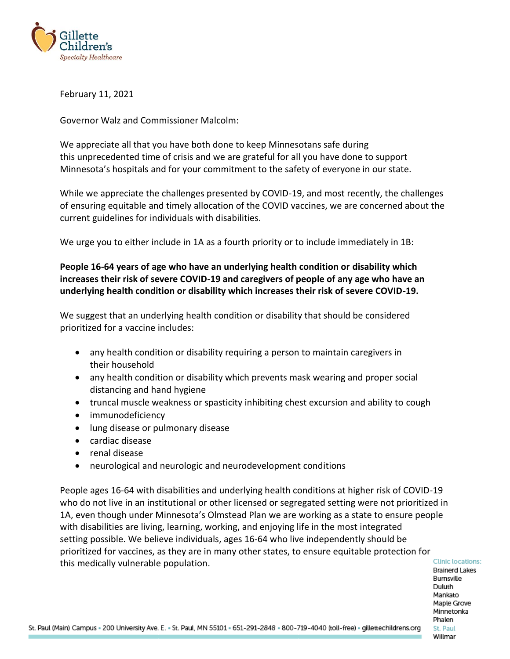

February 11, 2021

Governor Walz and Commissioner Malcolm:

We appreciate all that you have both done to keep Minnesotans safe during this unprecedented time of crisis and we are grateful for all you have done to support Minnesota's hospitals and for your commitment to the safety of everyone in our state.

While we appreciate the challenges presented by COVID-19, and most recently, the challenges of ensuring equitable and timely allocation of the COVID vaccines, we are concerned about the current guidelines for individuals with disabilities.

We urge you to either include in 1A as a fourth priority or to include immediately in 1B:

## **People 16-64 years of age who have an underlying health condition or disability which increases their risk of severe COVID-19 and caregivers of people of any age who have an underlying health condition or disability which increases their risk of severe COVID-19.**

We suggest that an underlying health condition or disability that should be considered prioritized for a vaccine includes:

- any health condition or disability requiring a person to maintain caregivers in their household
- any health condition or disability which prevents mask wearing and proper social distancing and hand hygiene
- truncal muscle weakness or spasticity inhibiting chest excursion and ability to cough
- immunodeficiency
- lung disease or pulmonary disease
- cardiac disease
- renal disease
- neurological and neurologic and neurodevelopment conditions

People ages 16-64 with disabilities and underlying health conditions at higher risk of COVID-19 who do not live in an institutional or other licensed or segregated setting were not prioritized in 1A, even though under Minnesota's Olmstead Plan we are working as a state to ensure people with disabilities are living, learning, working, and enjoying life in the most integrated setting possible. We believe individuals, ages 16-64 who live independently should be prioritized for vaccines, as they are in many other states, to ensure equitable protection for this medically vulnerable population.

**Clinic locations: Brainerd Lakes** Burnsville Duluth Mankato Maple Grove Minnetonka Phalen St. Paul Willmar